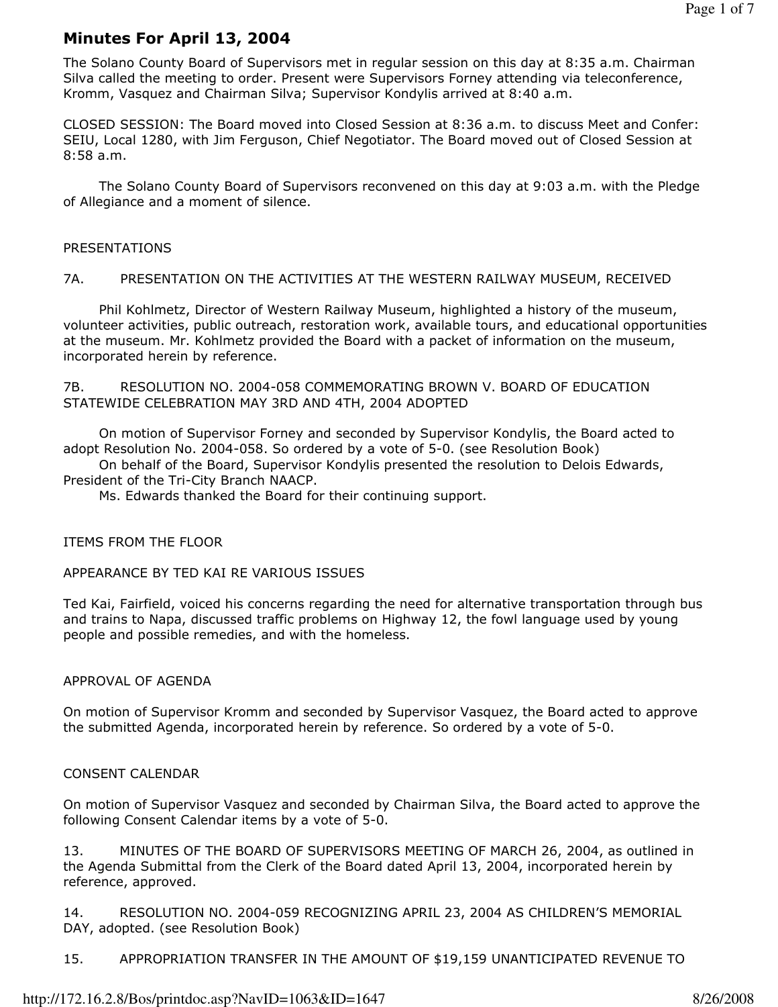# Minutes For April 13, 2004

The Solano County Board of Supervisors met in regular session on this day at 8:35 a.m. Chairman Silva called the meeting to order. Present were Supervisors Forney attending via teleconference, Kromm, Vasquez and Chairman Silva; Supervisor Kondylis arrived at 8:40 a.m.

CLOSED SESSION: The Board moved into Closed Session at 8:36 a.m. to discuss Meet and Confer: SEIU, Local 1280, with Jim Ferguson, Chief Negotiator. The Board moved out of Closed Session at 8:58 a.m.

 The Solano County Board of Supervisors reconvened on this day at 9:03 a.m. with the Pledge of Allegiance and a moment of silence.

## PRESENTATIONS

## 7A. PRESENTATION ON THE ACTIVITIES AT THE WESTERN RAILWAY MUSEUM, RECEIVED

 Phil Kohlmetz, Director of Western Railway Museum, highlighted a history of the museum, volunteer activities, public outreach, restoration work, available tours, and educational opportunities at the museum. Mr. Kohlmetz provided the Board with a packet of information on the museum, incorporated herein by reference.

7B. RESOLUTION NO. 2004-058 COMMEMORATING BROWN V. BOARD OF EDUCATION STATEWIDE CELEBRATION MAY 3RD AND 4TH, 2004 ADOPTED

 On motion of Supervisor Forney and seconded by Supervisor Kondylis, the Board acted to adopt Resolution No. 2004-058. So ordered by a vote of 5-0. (see Resolution Book)

 On behalf of the Board, Supervisor Kondylis presented the resolution to Delois Edwards, President of the Tri-City Branch NAACP.

Ms. Edwards thanked the Board for their continuing support.

#### ITEMS FROM THE FLOOR

## APPEARANCE BY TED KAI RE VARIOUS ISSUES

Ted Kai, Fairfield, voiced his concerns regarding the need for alternative transportation through bus and trains to Napa, discussed traffic problems on Highway 12, the fowl language used by young people and possible remedies, and with the homeless.

#### APPROVAL OF AGENDA

On motion of Supervisor Kromm and seconded by Supervisor Vasquez, the Board acted to approve the submitted Agenda, incorporated herein by reference. So ordered by a vote of 5-0.

## CONSENT CALENDAR

On motion of Supervisor Vasquez and seconded by Chairman Silva, the Board acted to approve the following Consent Calendar items by a vote of 5-0.

13. MINUTES OF THE BOARD OF SUPERVISORS MEETING OF MARCH 26, 2004, as outlined in the Agenda Submittal from the Clerk of the Board dated April 13, 2004, incorporated herein by reference, approved.

14. RESOLUTION NO. 2004-059 RECOGNIZING APRIL 23, 2004 AS CHILDREN'S MEMORIAL DAY, adopted. (see Resolution Book)

15. APPROPRIATION TRANSFER IN THE AMOUNT OF \$19,159 UNANTICIPATED REVENUE TO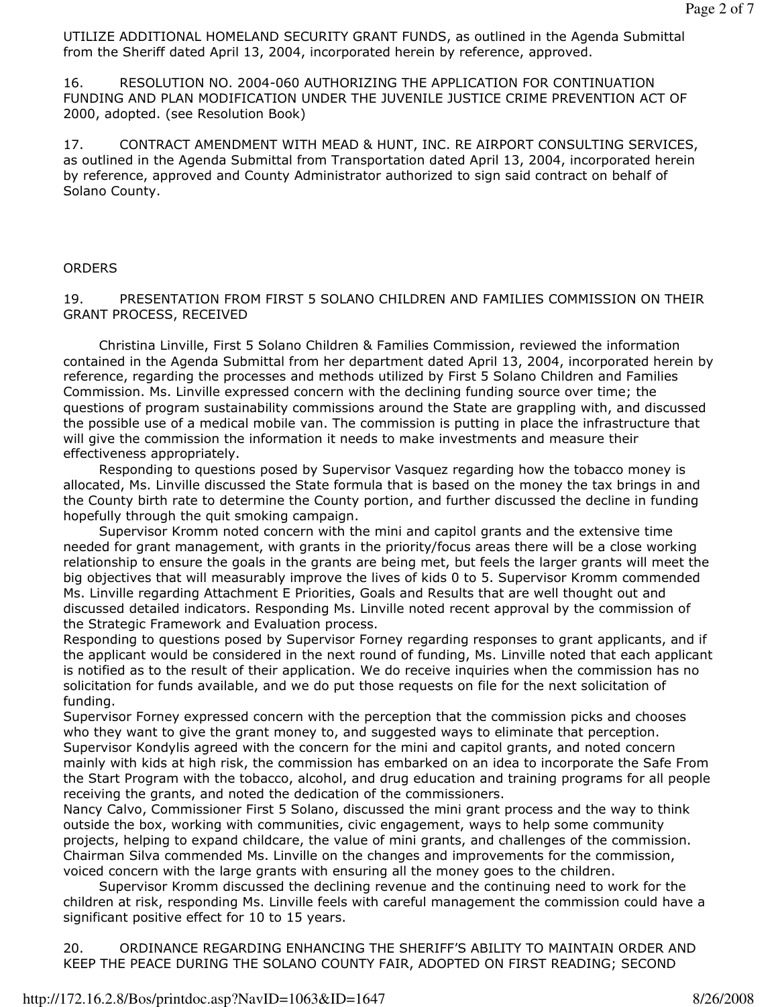UTILIZE ADDITIONAL HOMELAND SECURITY GRANT FUNDS, as outlined in the Agenda Submittal from the Sheriff dated April 13, 2004, incorporated herein by reference, approved.

16. RESOLUTION NO. 2004-060 AUTHORIZING THE APPLICATION FOR CONTINUATION FUNDING AND PLAN MODIFICATION UNDER THE JUVENILE JUSTICE CRIME PREVENTION ACT OF 2000, adopted. (see Resolution Book)

17. CONTRACT AMENDMENT WITH MEAD & HUNT, INC. RE AIRPORT CONSULTING SERVICES, as outlined in the Agenda Submittal from Transportation dated April 13, 2004, incorporated herein by reference, approved and County Administrator authorized to sign said contract on behalf of Solano County.

#### **ORDERS**

19. PRESENTATION FROM FIRST 5 SOLANO CHILDREN AND FAMILIES COMMISSION ON THEIR GRANT PROCESS, RECEIVED

 Christina Linville, First 5 Solano Children & Families Commission, reviewed the information contained in the Agenda Submittal from her department dated April 13, 2004, incorporated herein by reference, regarding the processes and methods utilized by First 5 Solano Children and Families Commission. Ms. Linville expressed concern with the declining funding source over time; the questions of program sustainability commissions around the State are grappling with, and discussed the possible use of a medical mobile van. The commission is putting in place the infrastructure that will give the commission the information it needs to make investments and measure their effectiveness appropriately.

 Responding to questions posed by Supervisor Vasquez regarding how the tobacco money is allocated, Ms. Linville discussed the State formula that is based on the money the tax brings in and the County birth rate to determine the County portion, and further discussed the decline in funding hopefully through the quit smoking campaign.

 Supervisor Kromm noted concern with the mini and capitol grants and the extensive time needed for grant management, with grants in the priority/focus areas there will be a close working relationship to ensure the goals in the grants are being met, but feels the larger grants will meet the big objectives that will measurably improve the lives of kids 0 to 5. Supervisor Kromm commended Ms. Linville regarding Attachment E Priorities, Goals and Results that are well thought out and discussed detailed indicators. Responding Ms. Linville noted recent approval by the commission of the Strategic Framework and Evaluation process.

Responding to questions posed by Supervisor Forney regarding responses to grant applicants, and if the applicant would be considered in the next round of funding, Ms. Linville noted that each applicant is notified as to the result of their application. We do receive inquiries when the commission has no solicitation for funds available, and we do put those requests on file for the next solicitation of funding.

Supervisor Forney expressed concern with the perception that the commission picks and chooses who they want to give the grant money to, and suggested ways to eliminate that perception. Supervisor Kondylis agreed with the concern for the mini and capitol grants, and noted concern mainly with kids at high risk, the commission has embarked on an idea to incorporate the Safe From the Start Program with the tobacco, alcohol, and drug education and training programs for all people receiving the grants, and noted the dedication of the commissioners.

Nancy Calvo, Commissioner First 5 Solano, discussed the mini grant process and the way to think outside the box, working with communities, civic engagement, ways to help some community projects, helping to expand childcare, the value of mini grants, and challenges of the commission. Chairman Silva commended Ms. Linville on the changes and improvements for the commission, voiced concern with the large grants with ensuring all the money goes to the children.

 Supervisor Kromm discussed the declining revenue and the continuing need to work for the children at risk, responding Ms. Linville feels with careful management the commission could have a significant positive effect for 10 to 15 years.

20. ORDINANCE REGARDING ENHANCING THE SHERIFF'S ABILITY TO MAINTAIN ORDER AND KEEP THE PEACE DURING THE SOLANO COUNTY FAIR, ADOPTED ON FIRST READING; SECOND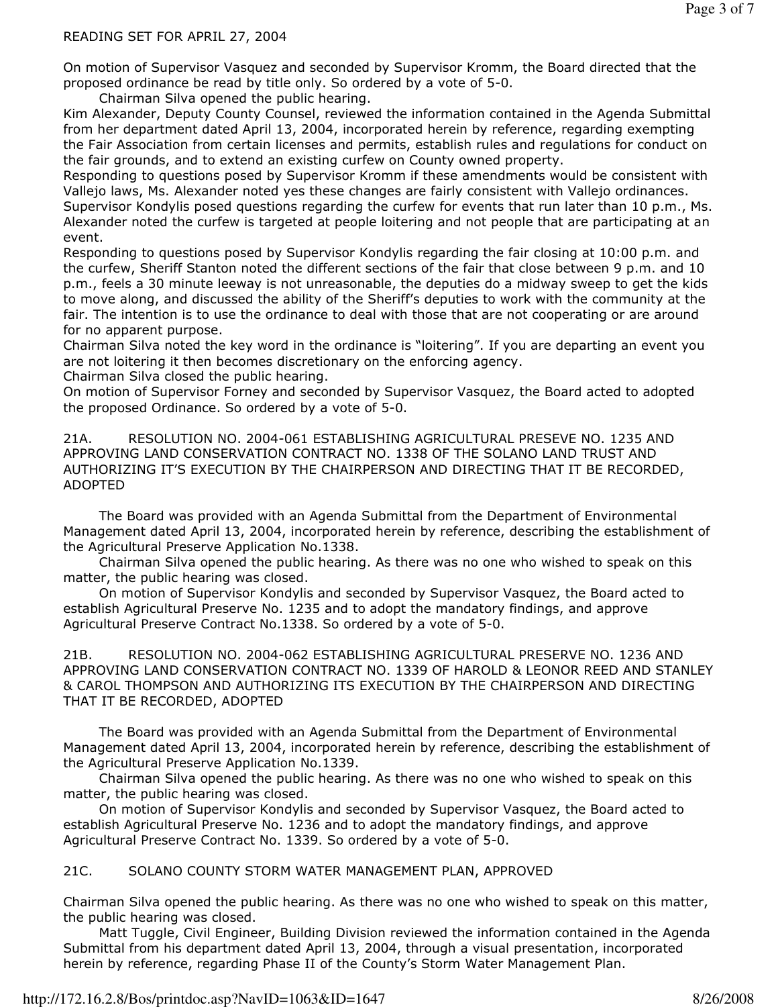## READING SET FOR APRIL 27, 2004

On motion of Supervisor Vasquez and seconded by Supervisor Kromm, the Board directed that the proposed ordinance be read by title only. So ordered by a vote of 5-0.

Chairman Silva opened the public hearing.

Kim Alexander, Deputy County Counsel, reviewed the information contained in the Agenda Submittal from her department dated April 13, 2004, incorporated herein by reference, regarding exempting the Fair Association from certain licenses and permits, establish rules and regulations for conduct on the fair grounds, and to extend an existing curfew on County owned property.

Responding to questions posed by Supervisor Kromm if these amendments would be consistent with Vallejo laws, Ms. Alexander noted yes these changes are fairly consistent with Vallejo ordinances.

Supervisor Kondylis posed questions regarding the curfew for events that run later than 10 p.m., Ms. Alexander noted the curfew is targeted at people loitering and not people that are participating at an event.

Responding to questions posed by Supervisor Kondylis regarding the fair closing at 10:00 p.m. and the curfew, Sheriff Stanton noted the different sections of the fair that close between 9 p.m. and 10 p.m., feels a 30 minute leeway is not unreasonable, the deputies do a midway sweep to get the kids to move along, and discussed the ability of the Sheriff's deputies to work with the community at the fair. The intention is to use the ordinance to deal with those that are not cooperating or are around for no apparent purpose.

Chairman Silva noted the key word in the ordinance is "loitering". If you are departing an event you are not loitering it then becomes discretionary on the enforcing agency.

Chairman Silva closed the public hearing.

On motion of Supervisor Forney and seconded by Supervisor Vasquez, the Board acted to adopted the proposed Ordinance. So ordered by a vote of 5-0.

21A. RESOLUTION NO. 2004-061 ESTABLISHING AGRICULTURAL PRESEVE NO. 1235 AND APPROVING LAND CONSERVATION CONTRACT NO. 1338 OF THE SOLANO LAND TRUST AND AUTHORIZING IT'S EXECUTION BY THE CHAIRPERSON AND DIRECTING THAT IT BE RECORDED, ADOPTED

 The Board was provided with an Agenda Submittal from the Department of Environmental Management dated April 13, 2004, incorporated herein by reference, describing the establishment of the Agricultural Preserve Application No.1338.

 Chairman Silva opened the public hearing. As there was no one who wished to speak on this matter, the public hearing was closed.

 On motion of Supervisor Kondylis and seconded by Supervisor Vasquez, the Board acted to establish Agricultural Preserve No. 1235 and to adopt the mandatory findings, and approve Agricultural Preserve Contract No.1338. So ordered by a vote of 5-0.

21B. RESOLUTION NO. 2004-062 ESTABLISHING AGRICULTURAL PRESERVE NO. 1236 AND APPROVING LAND CONSERVATION CONTRACT NO. 1339 OF HAROLD & LEONOR REED AND STANLEY & CAROL THOMPSON AND AUTHORIZING ITS EXECUTION BY THE CHAIRPERSON AND DIRECTING THAT IT BE RECORDED, ADOPTED

 The Board was provided with an Agenda Submittal from the Department of Environmental Management dated April 13, 2004, incorporated herein by reference, describing the establishment of the Agricultural Preserve Application No.1339.

 Chairman Silva opened the public hearing. As there was no one who wished to speak on this matter, the public hearing was closed.

 On motion of Supervisor Kondylis and seconded by Supervisor Vasquez, the Board acted to establish Agricultural Preserve No. 1236 and to adopt the mandatory findings, and approve Agricultural Preserve Contract No. 1339. So ordered by a vote of 5-0.

21C. SOLANO COUNTY STORM WATER MANAGEMENT PLAN, APPROVED

Chairman Silva opened the public hearing. As there was no one who wished to speak on this matter, the public hearing was closed.

 Matt Tuggle, Civil Engineer, Building Division reviewed the information contained in the Agenda Submittal from his department dated April 13, 2004, through a visual presentation, incorporated herein by reference, regarding Phase II of the County's Storm Water Management Plan.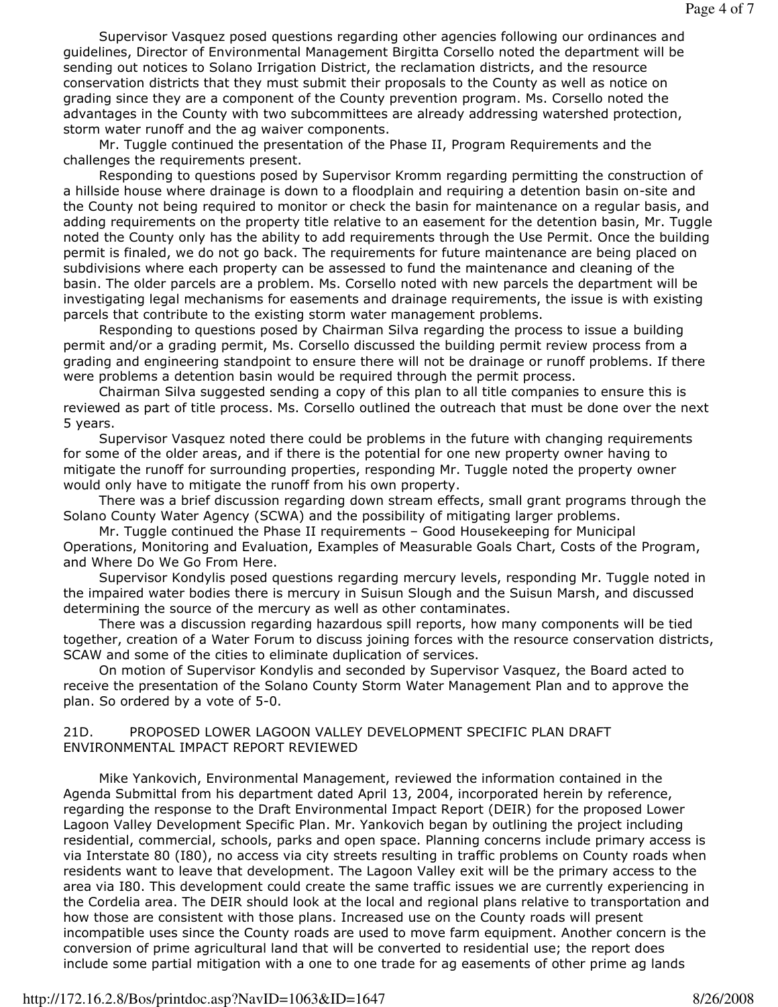Supervisor Vasquez posed questions regarding other agencies following our ordinances and guidelines, Director of Environmental Management Birgitta Corsello noted the department will be sending out notices to Solano Irrigation District, the reclamation districts, and the resource conservation districts that they must submit their proposals to the County as well as notice on grading since they are a component of the County prevention program. Ms. Corsello noted the advantages in the County with two subcommittees are already addressing watershed protection, storm water runoff and the ag waiver components.

 Mr. Tuggle continued the presentation of the Phase II, Program Requirements and the challenges the requirements present.

 Responding to questions posed by Supervisor Kromm regarding permitting the construction of a hillside house where drainage is down to a floodplain and requiring a detention basin on-site and the County not being required to monitor or check the basin for maintenance on a regular basis, and adding requirements on the property title relative to an easement for the detention basin, Mr. Tuggle noted the County only has the ability to add requirements through the Use Permit. Once the building permit is finaled, we do not go back. The requirements for future maintenance are being placed on subdivisions where each property can be assessed to fund the maintenance and cleaning of the basin. The older parcels are a problem. Ms. Corsello noted with new parcels the department will be investigating legal mechanisms for easements and drainage requirements, the issue is with existing parcels that contribute to the existing storm water management problems.

 Responding to questions posed by Chairman Silva regarding the process to issue a building permit and/or a grading permit, Ms. Corsello discussed the building permit review process from a grading and engineering standpoint to ensure there will not be drainage or runoff problems. If there were problems a detention basin would be required through the permit process.

 Chairman Silva suggested sending a copy of this plan to all title companies to ensure this is reviewed as part of title process. Ms. Corsello outlined the outreach that must be done over the next 5 years.

 Supervisor Vasquez noted there could be problems in the future with changing requirements for some of the older areas, and if there is the potential for one new property owner having to mitigate the runoff for surrounding properties, responding Mr. Tuggle noted the property owner would only have to mitigate the runoff from his own property.

 There was a brief discussion regarding down stream effects, small grant programs through the Solano County Water Agency (SCWA) and the possibility of mitigating larger problems.

 Mr. Tuggle continued the Phase II requirements – Good Housekeeping for Municipal Operations, Monitoring and Evaluation, Examples of Measurable Goals Chart, Costs of the Program, and Where Do We Go From Here.

 Supervisor Kondylis posed questions regarding mercury levels, responding Mr. Tuggle noted in the impaired water bodies there is mercury in Suisun Slough and the Suisun Marsh, and discussed determining the source of the mercury as well as other contaminates.

 There was a discussion regarding hazardous spill reports, how many components will be tied together, creation of a Water Forum to discuss joining forces with the resource conservation districts, SCAW and some of the cities to eliminate duplication of services.

 On motion of Supervisor Kondylis and seconded by Supervisor Vasquez, the Board acted to receive the presentation of the Solano County Storm Water Management Plan and to approve the plan. So ordered by a vote of 5-0.

## 21D. PROPOSED LOWER LAGOON VALLEY DEVELOPMENT SPECIFIC PLAN DRAFT ENVIRONMENTAL IMPACT REPORT REVIEWED

 Mike Yankovich, Environmental Management, reviewed the information contained in the Agenda Submittal from his department dated April 13, 2004, incorporated herein by reference, regarding the response to the Draft Environmental Impact Report (DEIR) for the proposed Lower Lagoon Valley Development Specific Plan. Mr. Yankovich began by outlining the project including residential, commercial, schools, parks and open space. Planning concerns include primary access is via Interstate 80 (I80), no access via city streets resulting in traffic problems on County roads when residents want to leave that development. The Lagoon Valley exit will be the primary access to the area via I80. This development could create the same traffic issues we are currently experiencing in the Cordelia area. The DEIR should look at the local and regional plans relative to transportation and how those are consistent with those plans. Increased use on the County roads will present incompatible uses since the County roads are used to move farm equipment. Another concern is the conversion of prime agricultural land that will be converted to residential use; the report does include some partial mitigation with a one to one trade for ag easements of other prime ag lands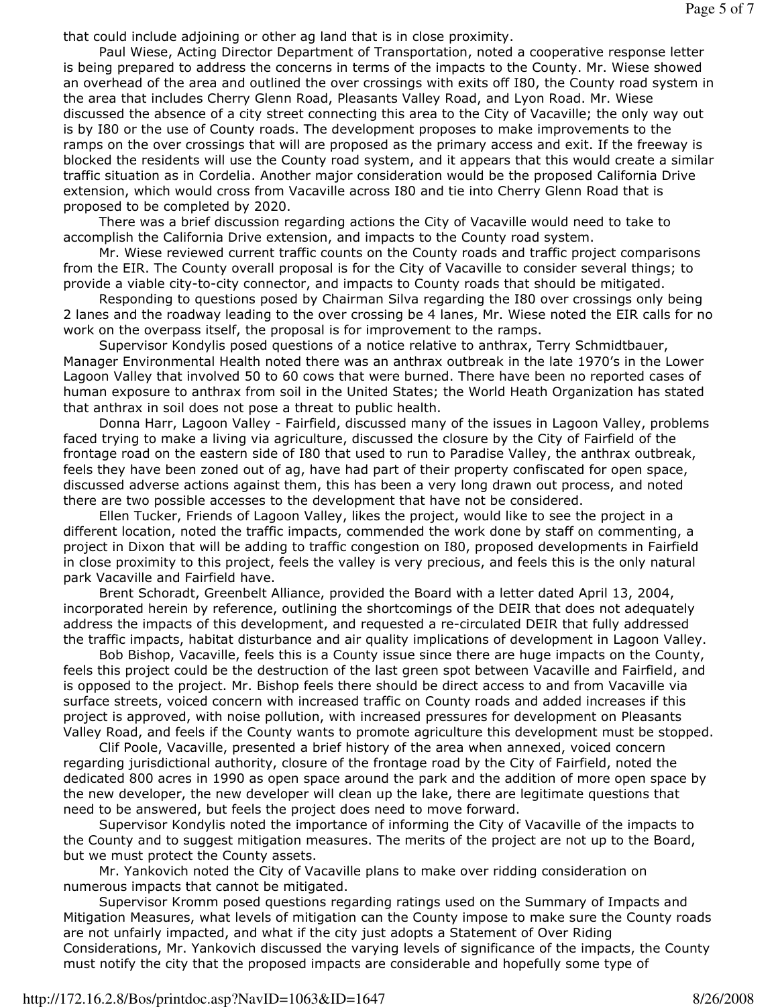that could include adjoining or other ag land that is in close proximity.

 Paul Wiese, Acting Director Department of Transportation, noted a cooperative response letter is being prepared to address the concerns in terms of the impacts to the County. Mr. Wiese showed an overhead of the area and outlined the over crossings with exits off I80, the County road system in the area that includes Cherry Glenn Road, Pleasants Valley Road, and Lyon Road. Mr. Wiese discussed the absence of a city street connecting this area to the City of Vacaville; the only way out is by I80 or the use of County roads. The development proposes to make improvements to the ramps on the over crossings that will are proposed as the primary access and exit. If the freeway is blocked the residents will use the County road system, and it appears that this would create a similar traffic situation as in Cordelia. Another major consideration would be the proposed California Drive extension, which would cross from Vacaville across I80 and tie into Cherry Glenn Road that is proposed to be completed by 2020.

 There was a brief discussion regarding actions the City of Vacaville would need to take to accomplish the California Drive extension, and impacts to the County road system.

 Mr. Wiese reviewed current traffic counts on the County roads and traffic project comparisons from the EIR. The County overall proposal is for the City of Vacaville to consider several things; to provide a viable city-to-city connector, and impacts to County roads that should be mitigated.

 Responding to questions posed by Chairman Silva regarding the I80 over crossings only being 2 lanes and the roadway leading to the over crossing be 4 lanes, Mr. Wiese noted the EIR calls for no work on the overpass itself, the proposal is for improvement to the ramps.

 Supervisor Kondylis posed questions of a notice relative to anthrax, Terry Schmidtbauer, Manager Environmental Health noted there was an anthrax outbreak in the late 1970's in the Lower Lagoon Valley that involved 50 to 60 cows that were burned. There have been no reported cases of human exposure to anthrax from soil in the United States; the World Heath Organization has stated that anthrax in soil does not pose a threat to public health.

 Donna Harr, Lagoon Valley - Fairfield, discussed many of the issues in Lagoon Valley, problems faced trying to make a living via agriculture, discussed the closure by the City of Fairfield of the frontage road on the eastern side of I80 that used to run to Paradise Valley, the anthrax outbreak, feels they have been zoned out of ag, have had part of their property confiscated for open space, discussed adverse actions against them, this has been a very long drawn out process, and noted there are two possible accesses to the development that have not be considered.

 Ellen Tucker, Friends of Lagoon Valley, likes the project, would like to see the project in a different location, noted the traffic impacts, commended the work done by staff on commenting, a project in Dixon that will be adding to traffic congestion on I80, proposed developments in Fairfield in close proximity to this project, feels the valley is very precious, and feels this is the only natural park Vacaville and Fairfield have.

 Brent Schoradt, Greenbelt Alliance, provided the Board with a letter dated April 13, 2004, incorporated herein by reference, outlining the shortcomings of the DEIR that does not adequately address the impacts of this development, and requested a re-circulated DEIR that fully addressed the traffic impacts, habitat disturbance and air quality implications of development in Lagoon Valley.

 Bob Bishop, Vacaville, feels this is a County issue since there are huge impacts on the County, feels this project could be the destruction of the last green spot between Vacaville and Fairfield, and is opposed to the project. Mr. Bishop feels there should be direct access to and from Vacaville via surface streets, voiced concern with increased traffic on County roads and added increases if this project is approved, with noise pollution, with increased pressures for development on Pleasants Valley Road, and feels if the County wants to promote agriculture this development must be stopped.

 Clif Poole, Vacaville, presented a brief history of the area when annexed, voiced concern regarding jurisdictional authority, closure of the frontage road by the City of Fairfield, noted the dedicated 800 acres in 1990 as open space around the park and the addition of more open space by the new developer, the new developer will clean up the lake, there are legitimate questions that need to be answered, but feels the project does need to move forward.

 Supervisor Kondylis noted the importance of informing the City of Vacaville of the impacts to the County and to suggest mitigation measures. The merits of the project are not up to the Board, but we must protect the County assets.

 Mr. Yankovich noted the City of Vacaville plans to make over ridding consideration on numerous impacts that cannot be mitigated.

 Supervisor Kromm posed questions regarding ratings used on the Summary of Impacts and Mitigation Measures, what levels of mitigation can the County impose to make sure the County roads are not unfairly impacted, and what if the city just adopts a Statement of Over Riding Considerations, Mr. Yankovich discussed the varying levels of significance of the impacts, the County must notify the city that the proposed impacts are considerable and hopefully some type of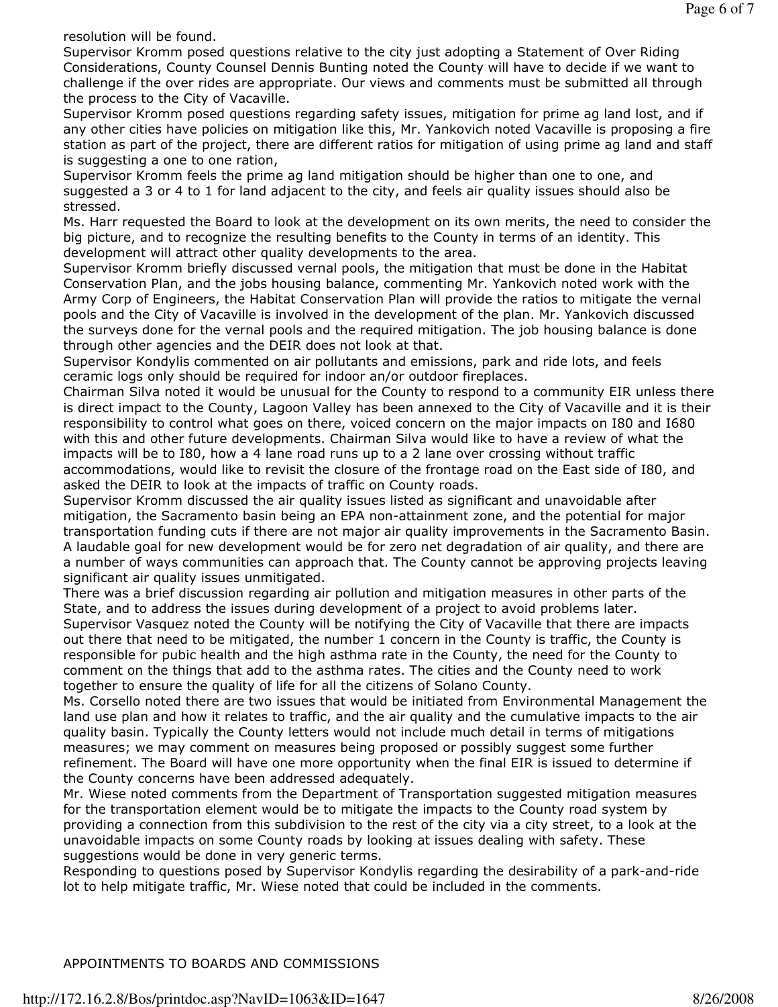resolution will be found.

Supervisor Kromm posed questions relative to the city just adopting a Statement of Over Riding Considerations, County Counsel Dennis Bunting noted the County will have to decide if we want to challenge if the over rides are appropriate. Our views and comments must be submitted all through the process to the City of Vacaville.

Supervisor Kromm posed questions regarding safety issues, mitigation for prime ag land lost, and if any other cities have policies on mitigation like this, Mr. Yankovich noted Vacaville is proposing a fire station as part of the project, there are different ratios for mitigation of using prime ag land and staff is suggesting a one to one ration,

Supervisor Kromm feels the prime ag land mitigation should be higher than one to one, and suggested a 3 or 4 to 1 for land adjacent to the city, and feels air quality issues should also be stressed.

Ms. Harr requested the Board to look at the development on its own merits, the need to consider the big picture, and to recognize the resulting benefits to the County in terms of an identity. This development will attract other quality developments to the area.

Supervisor Kromm briefly discussed vernal pools, the mitigation that must be done in the Habitat Conservation Plan, and the jobs housing balance, commenting Mr. Yankovich noted work with the Army Corp of Engineers, the Habitat Conservation Plan will provide the ratios to mitigate the vernal pools and the City of Vacaville is involved in the development of the plan. Mr. Yankovich discussed the surveys done for the vernal pools and the required mitigation. The job housing balance is done through other agencies and the DEIR does not look at that.

Supervisor Kondylis commented on air pollutants and emissions, park and ride lots, and feels ceramic logs only should be required for indoor an/or outdoor fireplaces.

Chairman Silva noted it would be unusual for the County to respond to a community EIR unless there is direct impact to the County, Lagoon Valley has been annexed to the City of Vacaville and it is their responsibility to control what goes on there, voiced concern on the major impacts on I80 and I680 with this and other future developments. Chairman Silva would like to have a review of what the impacts will be to I80, how a 4 lane road runs up to a 2 lane over crossing without traffic accommodations, would like to revisit the closure of the frontage road on the East side of I80, and asked the DEIR to look at the impacts of traffic on County roads.

Supervisor Kromm discussed the air quality issues listed as significant and unavoidable after mitigation, the Sacramento basin being an EPA non-attainment zone, and the potential for major transportation funding cuts if there are not major air quality improvements in the Sacramento Basin. A laudable goal for new development would be for zero net degradation of air quality, and there are a number of ways communities can approach that. The County cannot be approving projects leaving significant air quality issues unmitigated.

There was a brief discussion regarding air pollution and mitigation measures in other parts of the State, and to address the issues during development of a project to avoid problems later. Supervisor Vasquez noted the County will be notifying the City of Vacaville that there are impacts out there that need to be mitigated, the number 1 concern in the County is traffic, the County is responsible for pubic health and the high asthma rate in the County, the need for the County to comment on the things that add to the asthma rates. The cities and the County need to work together to ensure the quality of life for all the citizens of Solano County.

Ms. Corsello noted there are two issues that would be initiated from Environmental Management the land use plan and how it relates to traffic, and the air quality and the cumulative impacts to the air quality basin. Typically the County letters would not include much detail in terms of mitigations measures; we may comment on measures being proposed or possibly suggest some further refinement. The Board will have one more opportunity when the final EIR is issued to determine if the County concerns have been addressed adequately.

Mr. Wiese noted comments from the Department of Transportation suggested mitigation measures for the transportation element would be to mitigate the impacts to the County road system by providing a connection from this subdivision to the rest of the city via a city street, to a look at the unavoidable impacts on some County roads by looking at issues dealing with safety. These suggestions would be done in very generic terms.

Responding to questions posed by Supervisor Kondylis regarding the desirability of a park-and-ride lot to help mitigate traffic, Mr. Wiese noted that could be included in the comments.